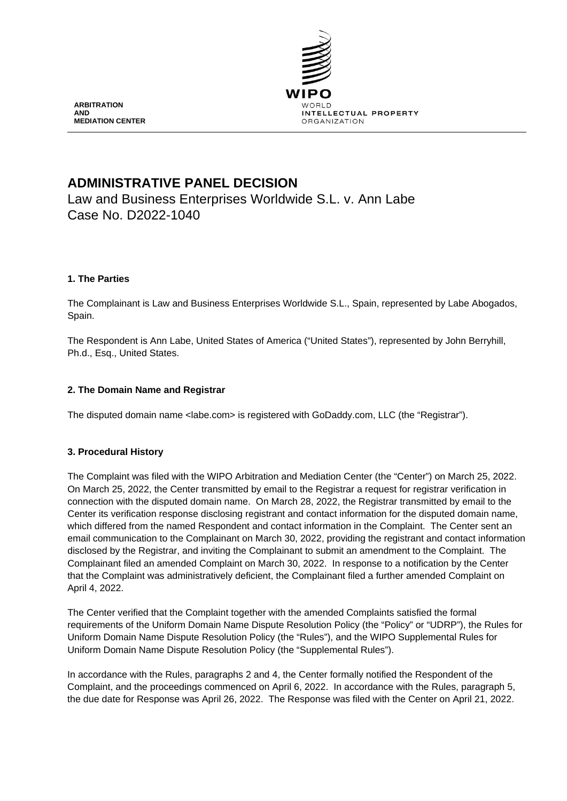

# **ADMINISTRATIVE PANEL DECISION**

Law and Business Enterprises Worldwide S.L. v. Ann Labe Case No. D2022-1040

# **1. The Parties**

The Complainant is Law and Business Enterprises Worldwide S.L., Spain, represented by Labe Abogados, Spain.

The Respondent is Ann Labe, United States of America ("United States"), represented by John Berryhill, Ph.d., Esq., United States.

# **2. The Domain Name and Registrar**

The disputed domain name <labe.com> is registered with GoDaddy.com, LLC (the "Registrar").

## **3. Procedural History**

The Complaint was filed with the WIPO Arbitration and Mediation Center (the "Center") on March 25, 2022. On March 25, 2022, the Center transmitted by email to the Registrar a request for registrar verification in connection with the disputed domain name. On March 28, 2022, the Registrar transmitted by email to the Center its verification response disclosing registrant and contact information for the disputed domain name, which differed from the named Respondent and contact information in the Complaint. The Center sent an email communication to the Complainant on March 30, 2022, providing the registrant and contact information disclosed by the Registrar, and inviting the Complainant to submit an amendment to the Complaint. The Complainant filed an amended Complaint on March 30, 2022. In response to a notification by the Center that the Complaint was administratively deficient, the Complainant filed a further amended Complaint on April 4, 2022.

The Center verified that the Complaint together with the amended Complaints satisfied the formal requirements of the Uniform Domain Name Dispute Resolution Policy (the "Policy" or "UDRP"), the Rules for Uniform Domain Name Dispute Resolution Policy (the "Rules"), and the WIPO Supplemental Rules for Uniform Domain Name Dispute Resolution Policy (the "Supplemental Rules").

In accordance with the Rules, paragraphs 2 and 4, the Center formally notified the Respondent of the Complaint, and the proceedings commenced on April 6, 2022. In accordance with the Rules, paragraph 5, the due date for Response was April 26, 2022. The Response was filed with the Center on April 21, 2022.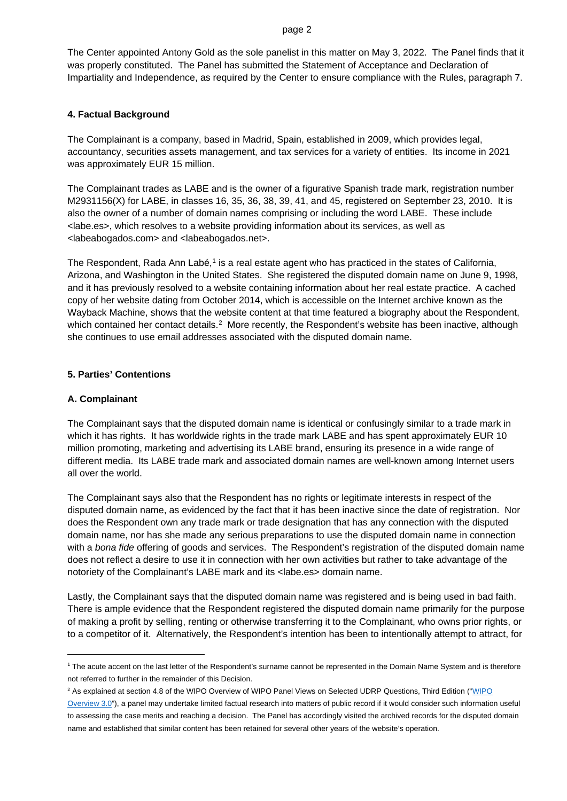### page 2

The Center appointed Antony Gold as the sole panelist in this matter on May 3, 2022. The Panel finds that it was properly constituted. The Panel has submitted the Statement of Acceptance and Declaration of Impartiality and Independence, as required by the Center to ensure compliance with the Rules, paragraph 7.

## **4. Factual Background**

The Complainant is a company, based in Madrid, Spain, established in 2009, which provides legal, accountancy, securities assets management, and tax services for a variety of entities. Its income in 2021 was approximately EUR 15 million.

The Complainant trades as LABE and is the owner of a figurative Spanish trade mark, registration number M2931156(X) for LABE, in classes 16, 35, 36, 38, 39, 41, and 45, registered on September 23, 2010. It is also the owner of a number of domain names comprising or including the word LABE. These include <labe.es>, which resolves to a website providing information about its services, as well as <labeabogados.com> and <labeabogados.net>.

The Respondent, Rada Ann Labé,<sup>[1](#page-1-0)</sup> is a real estate agent who has practiced in the states of California, Arizona, and Washington in the United States. She registered the disputed domain name on June 9, 1998, and it has previously resolved to a website containing information about her real estate practice. A cached copy of her website dating from October 2014, which is accessible on the Internet archive known as the Wayback Machine, shows that the website content at that time featured a biography about the Respondent, which contained her contact details.<sup>[2](#page-1-1)</sup> More recently, the Respondent's website has been inactive, although she continues to use email addresses associated with the disputed domain name.

## **5. Parties' Contentions**

## **A. Complainant**

<u>.</u>

The Complainant says that the disputed domain name is identical or confusingly similar to a trade mark in which it has rights. It has worldwide rights in the trade mark LABE and has spent approximately EUR 10 million promoting, marketing and advertising its LABE brand, ensuring its presence in a wide range of different media. Its LABE trade mark and associated domain names are well-known among Internet users all over the world.

The Complainant says also that the Respondent has no rights or legitimate interests in respect of the disputed domain name, as evidenced by the fact that it has been inactive since the date of registration. Nor does the Respondent own any trade mark or trade designation that has any connection with the disputed domain name, nor has she made any serious preparations to use the disputed domain name in connection with a *bona fide* offering of goods and services. The Respondent's registration of the disputed domain name does not reflect a desire to use it in connection with her own activities but rather to take advantage of the notoriety of the Complainant's LABE mark and its <labe.es> domain name.

Lastly, the Complainant says that the disputed domain name was registered and is being used in bad faith. There is ample evidence that the Respondent registered the disputed domain name primarily for the purpose of making a profit by selling, renting or otherwise transferring it to the Complainant, who owns prior rights, or to a competitor of it. Alternatively, the Respondent's intention has been to intentionally attempt to attract, for

<span id="page-1-0"></span><sup>&</sup>lt;sup>1</sup> The acute accent on the last letter of the Respondent's surname cannot be represented in the Domain Name System and is therefore not referred to further in the remainder of this Decision.

<span id="page-1-1"></span><sup>&</sup>lt;sup>2</sup> As explained at section 4.8 of the WIPO Overview of WIPO Panel Views on Selected UDRP Questions, Third Edition ("WIPO

Overview 3.0"), a panel may undertake limited factual research into matters of public record if it would consider such information useful to assessing the case merits and reaching a decision. The Panel has accordingly visited the archived records for the disputed domain name and established that similar content has been retained for several other years of the website's operation.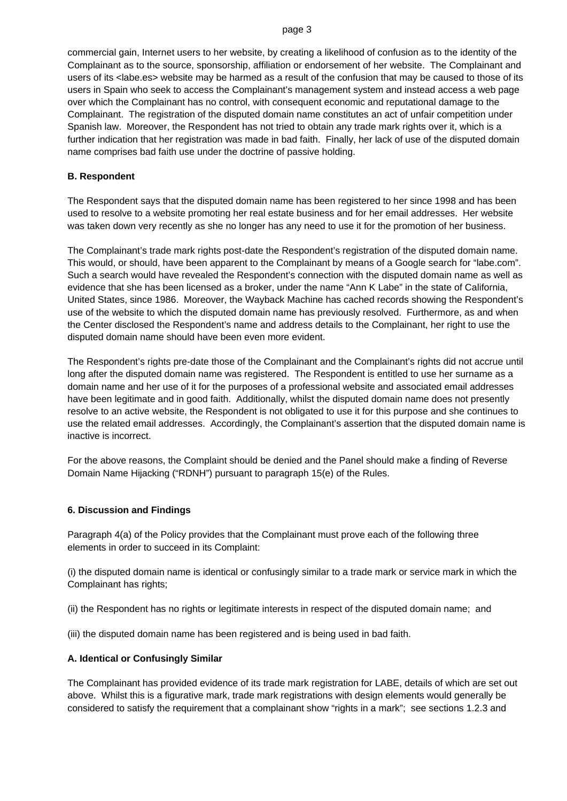### page 3

commercial gain, Internet users to her website, by creating a likelihood of confusion as to the identity of the Complainant as to the source, sponsorship, affiliation or endorsement of her website. The Complainant and users of its <labe.es> website may be harmed as a result of the confusion that may be caused to those of its users in Spain who seek to access the Complainant's management system and instead access a web page over which the Complainant has no control, with consequent economic and reputational damage to the Complainant. The registration of the disputed domain name constitutes an act of unfair competition under Spanish law. Moreover, the Respondent has not tried to obtain any trade mark rights over it, which is a further indication that her registration was made in bad faith. Finally, her lack of use of the disputed domain name comprises bad faith use under the doctrine of passive holding.

## **B. Respondent**

The Respondent says that the disputed domain name has been registered to her since 1998 and has been used to resolve to a website promoting her real estate business and for her email addresses. Her website was taken down very recently as she no longer has any need to use it for the promotion of her business.

The Complainant's trade mark rights post-date the Respondent's registration of the disputed domain name. This would, or should, have been apparent to the Complainant by means of a Google search for "labe.com". Such a search would have revealed the Respondent's connection with the disputed domain name as well as evidence that she has been licensed as a broker, under the name "Ann K Labe" in the state of California, United States, since 1986. Moreover, the Wayback Machine has cached records showing the Respondent's use of the website to which the disputed domain name has previously resolved. Furthermore, as and when the Center disclosed the Respondent's name and address details to the Complainant, her right to use the disputed domain name should have been even more evident.

The Respondent's rights pre-date those of the Complainant and the Complainant's rights did not accrue until long after the disputed domain name was registered. The Respondent is entitled to use her surname as a domain name and her use of it for the purposes of a professional website and associated email addresses have been legitimate and in good faith. Additionally, whilst the disputed domain name does not presently resolve to an active website, the Respondent is not obligated to use it for this purpose and she continues to use the related email addresses. Accordingly, the Complainant's assertion that the disputed domain name is inactive is incorrect.

For the above reasons, the Complaint should be denied and the Panel should make a finding of Reverse Domain Name Hijacking ("RDNH") pursuant to paragraph 15(e) of the Rules.

## **6. Discussion and Findings**

Paragraph 4(a) of the Policy provides that the Complainant must prove each of the following three elements in order to succeed in its Complaint:

(i) the disputed domain name is identical or confusingly similar to a trade mark or service mark in which the Complainant has rights;

(ii) the Respondent has no rights or legitimate interests in respect of the disputed domain name; and

(iii) the disputed domain name has been registered and is being used in bad faith.

## **A. Identical or Confusingly Similar**

The Complainant has provided evidence of its trade mark registration for LABE, details of which are set out above. Whilst this is a figurative mark, trade mark registrations with design elements would generally be considered to satisfy the requirement that a complainant show "rights in a mark"; see sections 1.2.3 and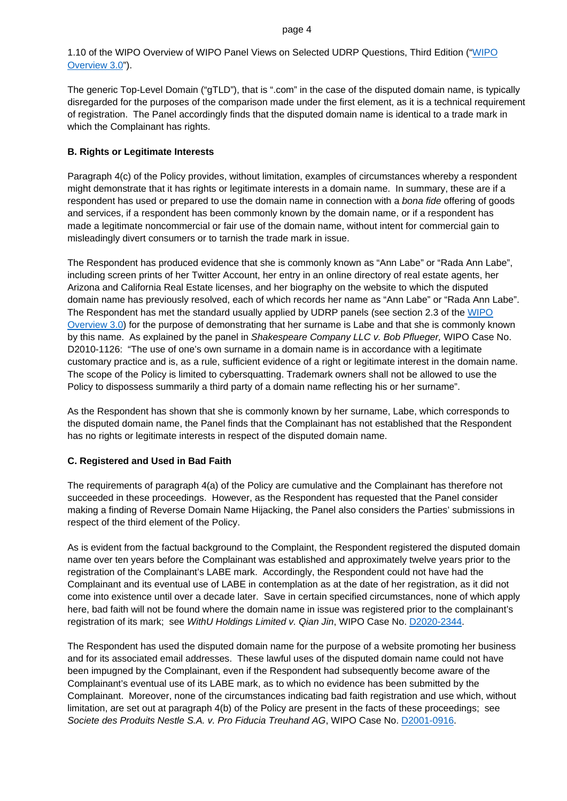1.10 of the WIPO Overview of WIPO Panel Views on Selected UDRP Questions, Third Edition (["WIPO](https://www.wipo.int/amc/en/domains/search/overview3.0/)  [Overview 3.0"](https://www.wipo.int/amc/en/domains/search/overview3.0/)).

The generic Top-Level Domain ("gTLD"), that is ".com" in the case of the disputed domain name, is typically disregarded for the purposes of the comparison made under the first element, as it is a technical requirement of registration. The Panel accordingly finds that the disputed domain name is identical to a trade mark in which the Complainant has rights.

## **B. Rights or Legitimate Interests**

Paragraph 4(c) of the Policy provides, without limitation, examples of circumstances whereby a respondent might demonstrate that it has rights or legitimate interests in a domain name. In summary, these are if a respondent has used or prepared to use the domain name in connection with a *bona fide* offering of goods and services, if a respondent has been commonly known by the domain name, or if a respondent has made a legitimate noncommercial or fair use of the domain name, without intent for commercial gain to misleadingly divert consumers or to tarnish the trade mark in issue.

The Respondent has produced evidence that she is commonly known as "Ann Labe" or "Rada Ann Labe", including screen prints of her Twitter Account, her entry in an online directory of real estate agents, her Arizona and California Real Estate licenses, and her biography on the website to which the disputed domain name has previously resolved, each of which records her name as "Ann Labe" or "Rada Ann Labe". The Respondent has met the standard usually applied by UDRP panels (see section 2.3 of the [WIPO](https://www.wipo.int/amc/en/domains/search/overview3.0/)  [Overview 3.0\)](https://www.wipo.int/amc/en/domains/search/overview3.0/) for the purpose of demonstrating that her surname is Labe and that she is commonly known by this name. As explained by the panel in *Shakespeare Company LLC v. Bob Pflueger,* WIPO Case No. D2010-1126: "The use of one's own surname in a domain name is in accordance with a legitimate customary practice and is, as a rule, sufficient evidence of a right or legitimate interest in the domain name. The scope of the Policy is limited to cybersquatting. Trademark owners shall not be allowed to use the Policy to dispossess summarily a third party of a domain name reflecting his or her surname".

As the Respondent has shown that she is commonly known by her surname, Labe, which corresponds to the disputed domain name, the Panel finds that the Complainant has not established that the Respondent has no rights or legitimate interests in respect of the disputed domain name.

## **C. Registered and Used in Bad Faith**

The requirements of paragraph 4(a) of the Policy are cumulative and the Complainant has therefore not succeeded in these proceedings. However, as the Respondent has requested that the Panel consider making a finding of Reverse Domain Name Hijacking, the Panel also considers the Parties' submissions in respect of the third element of the Policy.

As is evident from the factual background to the Complaint, the Respondent registered the disputed domain name over ten years before the Complainant was established and approximately twelve years prior to the registration of the Complainant's LABE mark. Accordingly, the Respondent could not have had the Complainant and its eventual use of LABE in contemplation as at the date of her registration, as it did not come into existence until over a decade later. Save in certain specified circumstances, none of which apply here, bad faith will not be found where the domain name in issue was registered prior to the complainant's registration of its mark; see *WithU Holdings Limited v. Qian Jin*, WIPO Case No. [D2020-2344.](https://www.wipo.int/amc/en/domains/search/text.jsp?case=D2020-2344)

The Respondent has used the disputed domain name for the purpose of a website promoting her business and for its associated email addresses. These lawful uses of the disputed domain name could not have been impugned by the Complainant, even if the Respondent had subsequently become aware of the Complainant's eventual use of its LABE mark, as to which no evidence has been submitted by the Complainant. Moreover, none of the circumstances indicating bad faith registration and use which, without limitation, are set out at paragraph 4(b) of the Policy are present in the facts of these proceedings; see *Societe des Produits Nestle S.A. v. Pro Fiducia Treuhand AG*, WIPO Case No. [D2001-0916.](https://www.wipo.int/amc/en/domains/decisions/html/2001/d2001-0916.html)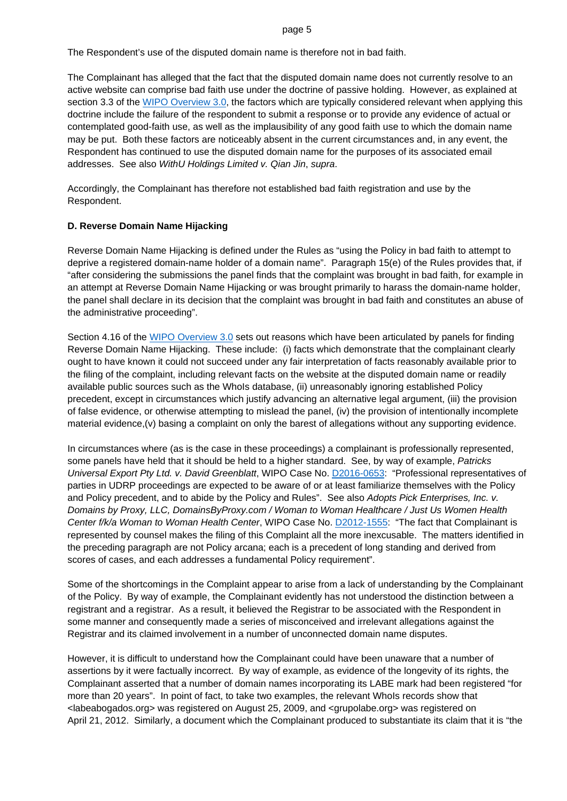The Respondent's use of the disputed domain name is therefore not in bad faith.

The Complainant has alleged that the fact that the disputed domain name does not currently resolve to an active website can comprise bad faith use under the doctrine of passive holding. However, as explained at section 3.3 of the [WIPO Overview 3.0,](https://www.wipo.int/amc/en/domains/search/overview3.0/) the factors which are typically considered relevant when applying this doctrine include the failure of the respondent to submit a response or to provide any evidence of actual or contemplated good-faith use, as well as the implausibility of any good faith use to which the domain name may be put. Both these factors are noticeably absent in the current circumstances and, in any event, the Respondent has continued to use the disputed domain name for the purposes of its associated email addresses. See also *WithU Holdings Limited v. Qian Jin*, *supra*.

Accordingly, the Complainant has therefore not established bad faith registration and use by the Respondent.

## **D. Reverse Domain Name Hijacking**

Reverse Domain Name Hijacking is defined under the Rules as "using the Policy in bad faith to attempt to deprive a registered domain-name holder of a domain name". Paragraph 15(e) of the Rules provides that, if "after considering the submissions the panel finds that the complaint was brought in bad faith, for example in an attempt at Reverse Domain Name Hijacking or was brought primarily to harass the domain-name holder, the panel shall declare in its decision that the complaint was brought in bad faith and constitutes an abuse of the administrative proceeding".

Section 4.16 of the [WIPO Overview 3.0](https://www.wipo.int/amc/en/domains/search/overview3.0/) sets out reasons which have been articulated by panels for finding Reverse Domain Name Hijacking. These include: (i) facts which demonstrate that the complainant clearly ought to have known it could not succeed under any fair interpretation of facts reasonably available prior to the filing of the complaint, including relevant facts on the website at the disputed domain name or readily available public sources such as the WhoIs database, (ii) unreasonably ignoring established Policy precedent, except in circumstances which justify advancing an alternative legal argument, (iii) the provision of false evidence, or otherwise attempting to mislead the panel, (iv) the provision of intentionally incomplete material evidence,(v) basing a complaint on only the barest of allegations without any supporting evidence.

In circumstances where (as is the case in these proceedings) a complainant is professionally represented, some panels have held that it should be held to a higher standard. See, by way of example, *Patricks Universal Export Pty Ltd. v. David Greenblatt*, WIPO Case No. [D2016-0653:](https://www.wipo.int/amc/en/domains/search/text.jsp?case=D2016-0653) "Professional representatives of parties in UDRP proceedings are expected to be aware of or at least familiarize themselves with the Policy and Policy precedent, and to abide by the Policy and Rules". See also *Adopts Pick Enterprises, Inc. v. Domains by Proxy, LLC, DomainsByProxy.com / Woman to Woman Healthcare / Just Us Women Health Center f/k/a Woman to Woman Health Center*, WIPO Case No. [D2012-1555:](https://www.wipo.int/amc/en/domains/search/text.jsp?case=D2012-1555) "The fact that Complainant is represented by counsel makes the filing of this Complaint all the more inexcusable. The matters identified in the preceding paragraph are not Policy arcana; each is a precedent of long standing and derived from scores of cases, and each addresses a fundamental Policy requirement".

Some of the shortcomings in the Complaint appear to arise from a lack of understanding by the Complainant of the Policy. By way of example, the Complainant evidently has not understood the distinction between a registrant and a registrar. As a result, it believed the Registrar to be associated with the Respondent in some manner and consequently made a series of misconceived and irrelevant allegations against the Registrar and its claimed involvement in a number of unconnected domain name disputes.

However, it is difficult to understand how the Complainant could have been unaware that a number of assertions by it were factually incorrect. By way of example, as evidence of the longevity of its rights, the Complainant asserted that a number of domain names incorporating its LABE mark had been registered "for more than 20 years". In point of fact, to take two examples, the relevant WhoIs records show that <labeabogados.org> was registered on August 25, 2009, and <grupolabe.org> was registered on April 21, 2012. Similarly, a document which the Complainant produced to substantiate its claim that it is "the